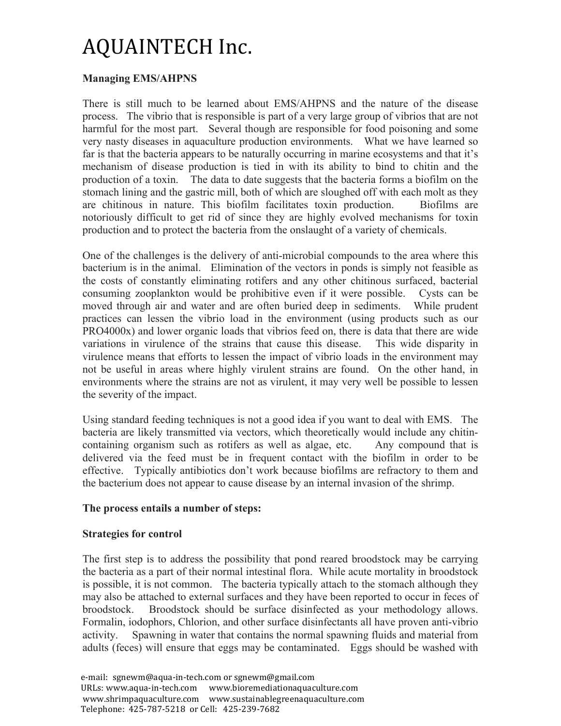### **Managing EMS/AHPNS**

There is still much to be learned about EMS/AHPNS and the nature of the disease process. The vibrio that is responsible is part of a very large group of vibrios that are not harmful for the most part. Several though are responsible for food poisoning and some very nasty diseases in aquaculture production environments. What we have learned so far is that the bacteria appears to be naturally occurring in marine ecosystems and that it's mechanism of disease production is tied in with its ability to bind to chitin and the production of a toxin. The data to date suggests that the bacteria forms a biofilm on the stomach lining and the gastric mill, both of which are sloughed off with each molt as they are chitinous in nature. This biofilm facilitates toxin production. Biofilms are notoriously difficult to get rid of since they are highly evolved mechanisms for toxin production and to protect the bacteria from the onslaught of a variety of chemicals.

One of the challenges is the delivery of anti-microbial compounds to the area where this bacterium is in the animal. Elimination of the vectors in ponds is simply not feasible as the costs of constantly eliminating rotifers and any other chitinous surfaced, bacterial consuming zooplankton would be prohibitive even if it were possible. Cysts can be moved through air and water and are often buried deep in sediments. While prudent practices can lessen the vibrio load in the environment (using products such as our PRO4000x) and lower organic loads that vibrios feed on, there is data that there are wide variations in virulence of the strains that cause this disease. This wide disparity in virulence means that efforts to lessen the impact of vibrio loads in the environment may not be useful in areas where highly virulent strains are found. On the other hand, in environments where the strains are not as virulent, it may very well be possible to lessen the severity of the impact.

Using standard feeding techniques is not a good idea if you want to deal with EMS. The bacteria are likely transmitted via vectors, which theoretically would include any chitincontaining organism such as rotifers as well as algae, etc. Any compound that is delivered via the feed must be in frequent contact with the biofilm in order to be effective. Typically antibiotics don't work because biofilms are refractory to them and the bacterium does not appear to cause disease by an internal invasion of the shrimp.

### **The process entails a number of steps:**

#### **Strategies for control**

The first step is to address the possibility that pond reared broodstock may be carrying the bacteria as a part of their normal intestinal flora. While acute mortality in broodstock is possible, it is not common. The bacteria typically attach to the stomach although they may also be attached to external surfaces and they have been reported to occur in feces of broodstock. Broodstock should be surface disinfected as your methodology allows. Formalin, iodophors, Chlorion, and other surface disinfectants all have proven anti-vibrio activity. Spawning in water that contains the normal spawning fluids and material from adults (feces) will ensure that eggs may be contaminated. Eggs should be washed with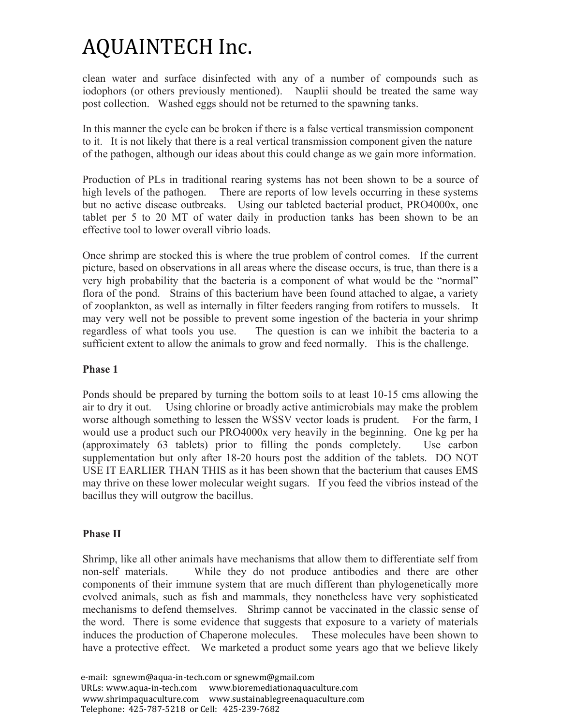clean water and surface disinfected with any of a number of compounds such as iodophors (or others previously mentioned). Nauplii should be treated the same way post collection. Washed eggs should not be returned to the spawning tanks.

In this manner the cycle can be broken if there is a false vertical transmission component to it. It is not likely that there is a real vertical transmission component given the nature of the pathogen, although our ideas about this could change as we gain more information.

Production of PLs in traditional rearing systems has not been shown to be a source of high levels of the pathogen. There are reports of low levels occurring in these systems but no active disease outbreaks. Using our tableted bacterial product, PRO4000x, one tablet per 5 to 20 MT of water daily in production tanks has been shown to be an effective tool to lower overall vibrio loads.

Once shrimp are stocked this is where the true problem of control comes. If the current picture, based on observations in all areas where the disease occurs, is true, than there is a very high probability that the bacteria is a component of what would be the "normal" flora of the pond. Strains of this bacterium have been found attached to algae, a variety of zooplankton, as well as internally in filter feeders ranging from rotifers to mussels. It may very well not be possible to prevent some ingestion of the bacteria in your shrimp regardless of what tools you use. The question is can we inhibit the bacteria to a sufficient extent to allow the animals to grow and feed normally. This is the challenge.

### **Phase 1**

Ponds should be prepared by turning the bottom soils to at least 10-15 cms allowing the air to dry it out. Using chlorine or broadly active antimicrobials may make the problem worse although something to lessen the WSSV vector loads is prudent. For the farm, I would use a product such our PRO4000x very heavily in the beginning. One kg per ha (approximately 63 tablets) prior to filling the ponds completely. Use carbon supplementation but only after 18-20 hours post the addition of the tablets. DO NOT USE IT EARLIER THAN THIS as it has been shown that the bacterium that causes EMS may thrive on these lower molecular weight sugars. If you feed the vibrios instead of the bacillus they will outgrow the bacillus.

### **Phase II**

Shrimp, like all other animals have mechanisms that allow them to differentiate self from non-self materials. While they do not produce antibodies and there are other components of their immune system that are much different than phylogenetically more evolved animals, such as fish and mammals, they nonetheless have very sophisticated mechanisms to defend themselves. Shrimp cannot be vaccinated in the classic sense of the word. There is some evidence that suggests that exposure to a variety of materials induces the production of Chaperone molecules. These molecules have been shown to have a protective effect. We marketed a product some years ago that we believe likely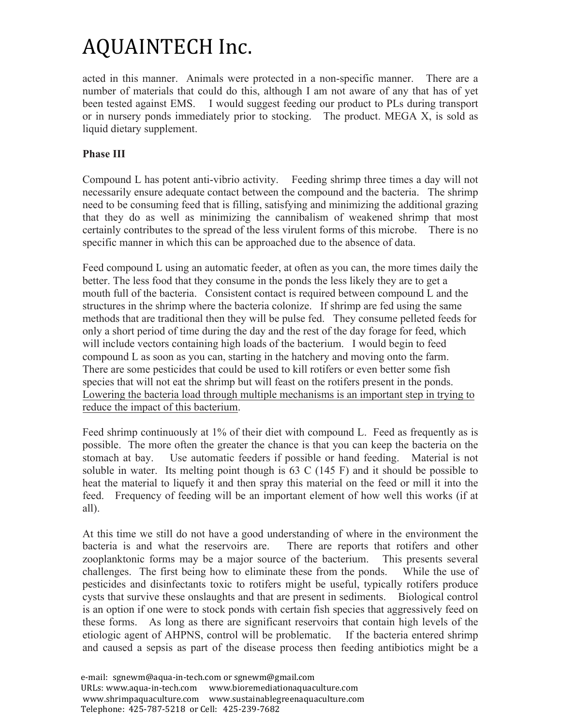acted in this manner. Animals were protected in a non-specific manner. There are a number of materials that could do this, although I am not aware of any that has of yet been tested against EMS. I would suggest feeding our product to PLs during transport or in nursery ponds immediately prior to stocking. The product. MEGA X, is sold as liquid dietary supplement.

### **Phase III**

Compound L has potent anti-vibrio activity. Feeding shrimp three times a day will not necessarily ensure adequate contact between the compound and the bacteria. The shrimp need to be consuming feed that is filling, satisfying and minimizing the additional grazing that they do as well as minimizing the cannibalism of weakened shrimp that most certainly contributes to the spread of the less virulent forms of this microbe. There is no specific manner in which this can be approached due to the absence of data.

Feed compound L using an automatic feeder, at often as you can, the more times daily the better. The less food that they consume in the ponds the less likely they are to get a mouth full of the bacteria. Consistent contact is required between compound L and the structures in the shrimp where the bacteria colonize. If shrimp are fed using the same methods that are traditional then they will be pulse fed. They consume pelleted feeds for only a short period of time during the day and the rest of the day forage for feed, which will include vectors containing high loads of the bacterium. I would begin to feed compound L as soon as you can, starting in the hatchery and moving onto the farm. There are some pesticides that could be used to kill rotifers or even better some fish species that will not eat the shrimp but will feast on the rotifers present in the ponds. Lowering the bacteria load through multiple mechanisms is an important step in trying to reduce the impact of this bacterium.

Feed shrimp continuously at 1% of their diet with compound L. Feed as frequently as is possible. The more often the greater the chance is that you can keep the bacteria on the stomach at bay. Use automatic feeders if possible or hand feeding. Material is not soluble in water. Its melting point though is 63 C (145 F) and it should be possible to heat the material to liquefy it and then spray this material on the feed or mill it into the feed. Frequency of feeding will be an important element of how well this works (if at all).

At this time we still do not have a good understanding of where in the environment the bacteria is and what the reservoirs are. There are reports that rotifers and other zooplanktonic forms may be a major source of the bacterium. This presents several challenges. The first being how to eliminate these from the ponds. While the use of pesticides and disinfectants toxic to rotifers might be useful, typically rotifers produce cysts that survive these onslaughts and that are present in sediments. Biological control is an option if one were to stock ponds with certain fish species that aggressively feed on these forms. As long as there are significant reservoirs that contain high levels of the etiologic agent of AHPNS, control will be problematic. If the bacteria entered shrimp and caused a sepsis as part of the disease process then feeding antibiotics might be a